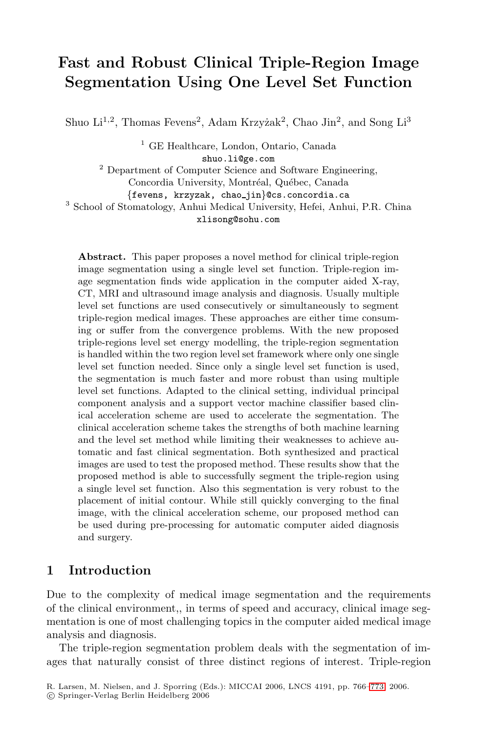# **Fast and Robust Clinical Triple-Region Image Segmentation Using One Level Set Function**

Shuo  $Li^{1,2}$ , Thomas Fevens<sup>2</sup>, Adam Krzyżak<sup>2</sup>, Chao Jin<sup>2</sup>, and Song  $Li^{3}$ 

<sup>1</sup> GE Healthcare, London, Ontario, Canada shuo.li@ge.com <sup>2</sup> Department of Computer Science and Software Engineering, Concordia University, Montréal, Québec, Canada *{*fevens, krzyzak, chao jin*}*@cs.concordia.ca <sup>3</sup> School of Stomatology, Anhui Medical University, Hefei, Anhui, P.R. China xlisong@sohu.com

**Abstract.** This paper proposes a novel method for clinical triple-region image segmentation using a single level set function. Triple-region image segmentation finds wide application in the computer aided X-ray, CT, MRI and ultrasound image analysis and diagnosis. Usually multiple level set functions are used consecutively or simultaneously to segment triple-region medical images. These approaches are either time consuming or suffer from the convergence problems. With the new proposed triple-regions level set energy modelling, the triple-region segmentation is handled within the two region level set framework where only one single level set function needed. Since only a single level set function is used, the segmentation is much faster and more robust than using multiple level set functions. Adapted to the clinical setting, individual principal component analysis and a support vector machine classifier based clinical acceleration scheme are used to accelerate the segmentation. The clinical acceleration scheme takes the strengths of both machine learning and the level set method while limiting their weaknesses to achieve automatic and fast clinical segmentation. Both synthesized and practical images are used to test the proposed method. These results show that the proposed method is able to successfully segment the triple-region using a single level set function. Also this segmentation is very robust to the placement of initial contour. While still quickly converging to the final image, with the clinical acceleration scheme, our proposed method can be used during pre-processing for automatic computer aided diagnosis and surgery.

#### **1 Introduction**

Due to the complexity of medical image segmentation and the requirements of the clinical environment,, in terms of speed and accuracy, clinical image segmentation is one of most challenging topics in the computer aided medical image analysis and diagnosis.

The triple-region segmentation problem deals with the segmentation of images that naturally consist of three distinct regions of interest. Triple-region

R. Larsen, M. Nielsen, and J. Sporring (Eds.): MICCAI 2006, LNCS 4191, pp. 766–773, 2006.

<sup>-</sup>c Springer-Verlag Berlin Heidelberg 2006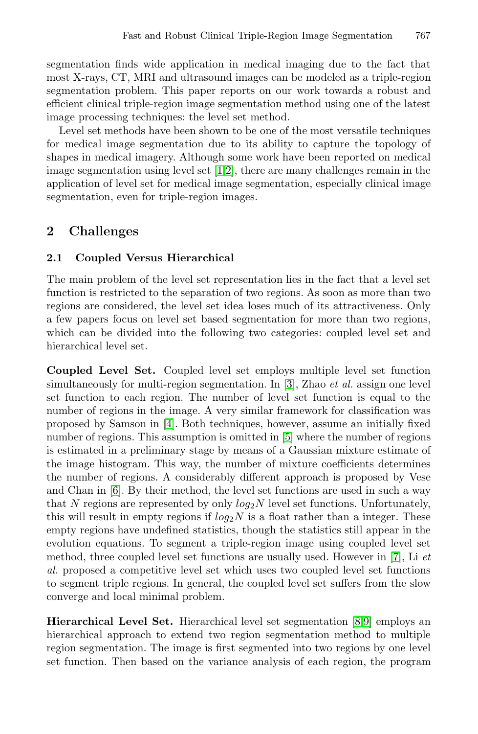segmentation finds wide application in medical imaging due to the fact that most X-rays, CT, MRI and ultrasound images can be modeled as a triple-region segmentation problem. This paper reports on our work towards a robust and efficient clinical triple-region image segmentation method using one of the latest image processing techniques: the level set method.

Level set methods have been shown to be one of the most versatile techniques for medical image segmentation due to its ability to capture the topology of shapes in medical imagery. Although some work have been reported on medical image segmentation using level set [1,2], there are many challenges remain in the application of level set for medical image segmentation, especially clinical image segmentation, even for triple-region images.

## **2 Challenges**

### **2.1 Coupled Versus Hierarchical**

The main problem of the level set representation lies in the fact that a level set function is restricted to the separation of two regions. As soon as more than two regions are considered, the level set idea loses much of its attractiveness. Only a few papers focus on level set based segmentation for more than two regions, which can be divided into the following two categories: coupled level set and hierarchical level set.

**Coupled Level Set.** Coupled level set employs multiple level set function simultaneously for multi-region segmentation. In [3], Zhao *et al.* assign one level set function to each region. The number of level set function is equal to the number of regions in the image. A very similar framework for classification was proposed by Samson in [4]. Both techniques, however, assume an initially fixed number of regions. This assumption is omitted in [5] where the number of regions is estimated in a preliminary stage by means of a Gaussian mixture estimate of the image histogram. This way, the number of mixture coefficients determines the number of regions. A considerably different approach is proposed by Vese and Chan in [6]. By their method, the level set functions are used in such a way that  $N$  regions are represented by only  $log_2N$  level set functions. Unfortunately, this will result in empty regions if  $log_2N$  is a float rather than a integer. These empty regions have undefined statistics, though the statistics still appear in the evolution equations. To segment a triple-region image using coupled level set method, three coupled level set functions are usually used. However in [7], Li *et al.* proposed a competitive level set which uses two coupled level set functions to segment triple regions. In general, the coupled level set suffers from the slow converge and local minimal problem.

**Hierarchical Level Set.** Hierarchical level set segmentation [8,9] employs an hierarchical approach to extend two region segmentation method to multiple region segmentation. The image is first segmented into two regions by one level set function. Then based on the variance analysis of each region, the program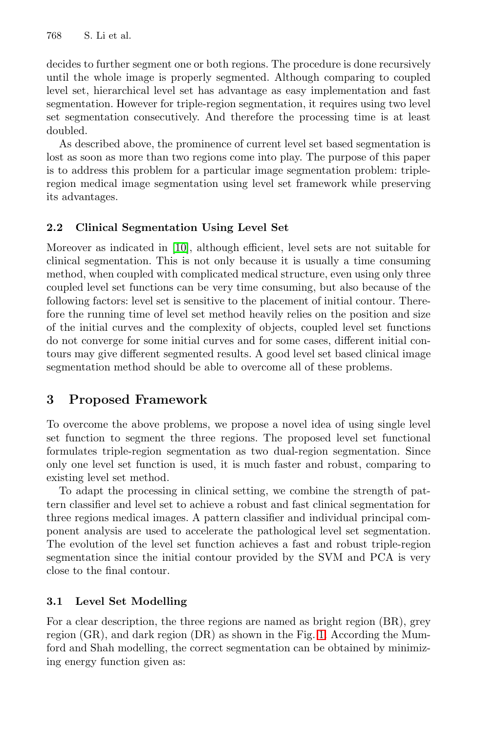768 S. Li et al.

decides to further segment one or both regions. The procedure is done recursively until the whole image is properly segmented. Although comparing to coupled level set, hierarchical level set has advantage as easy implementation and fast segmentation. However for triple-region segmentation, it requires using two level set segmentation consecutively. And therefore the processing time is at least doubled.

As described above, the prominence of current level set based segmentation is lost as soon as more than two regions come into play. The purpose of this paper is to address this problem for a particular image segmentation problem: tripleregion medical image segmentation using level set framework while preserving its advantages.

#### **2.2 Clinical Segmentation Using Level Set**

Moreover as indicated in [10], although efficient, level sets are not suitable for clinical segmentation. This is not only because it is usually a time consuming method, when coupled with complicated medical structure, even using only three coupled level set functions can be very time consuming, but also because of the following factors: level set is sensitive to the placement of initial contour. Therefore the running time of level set method heavily relies on the position and size of the initial curves and the complexity of objects, coupled level set functions do not converge for some initial curves and for some cases, different initial contours may give different segmented results. A good level set based clinical image segmentation method should be able to overcome all of these problems.

### **3 Proposed Framework**

To overcome the above problems, we propose a novel idea of using single level set function to segment the three regions. The proposed level set functional formulates triple-region segmentation as two dual-region segmentation. Since only one level set function is used, it is much faster and robust, comparing to existing level set method.

To adapt the processing in clinical setting, we combine the strength of pattern classifier and level set to achieve a robust and fast clinical segmentation for three regions medical images. A pattern classifier and individual principal component analysis are used to accelerate the pathological level set segmentation. The evolution of the level set function achieves a fast and robust triple-region segmentation since the initial contour provided by the SVM and PCA is very close to the final contour.

#### **3.1 Level Set Modelling**

For a clear description, the three regions are named as bright region (BR), grey region (GR), and dark region (DR) as shown in the Fig. 1. According the Mumford and Shah modelling, the correct segmentation can be obtained by minimizing energy function given as: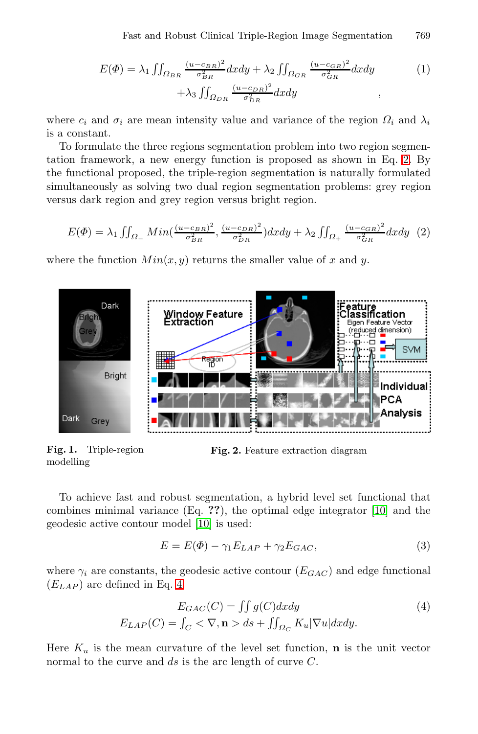$$
E(\Phi) = \lambda_1 \iint_{\Omega_{BR}} \frac{(u - c_{BR})^2}{\sigma_{BR}^2} dx dy + \lambda_2 \iint_{\Omega_{GR}} \frac{(u - c_{GR})^2}{\sigma_{GR}^2} dx dy
$$
  
+ 
$$
\lambda_3 \iint_{\Omega_{DR}} \frac{(u - c_{DR})^2}{\sigma_{DR}^2} dx dy
$$
 (1)

where  $c_i$  and  $\sigma_i$  are mean intensity value and variance of the region  $\Omega_i$  and  $\lambda_i$ is a constant.

To formulate the three regions segmentation problem into two region segmentation framework, a new energy function is proposed as shown in Eq. 2. By the functional proposed, the triple-region segmentation is naturally formulated simultaneously as solving two dual region segmentation problems: grey region versus dark region and grey region versus bright region.

$$
E(\Phi) = \lambda_1 \iint_{\Omega_-} Min(\frac{(u-c_{BR})^2}{\sigma_{BR}^2}, \frac{(u-c_{DR})^2}{\sigma_{DR}^2}) dx dy + \lambda_2 \iint_{\Omega_+} \frac{(u-c_{GR})^2}{\sigma_{GR}^2} dx dy \tag{2}
$$

where the function  $Min(x, y)$  returns the smaller value of x and y.



**Fig. 1.** Triple-region modelling

**Fig. 2.** Feature extraction diagram

To achieve fast and robust segmentation, a hybrid level set functional that combines minimal variance (Eq. **??**), the optimal edge integrator [10] and the geodesic active contour model [10] is used:

$$
E = E(\Phi) - \gamma_1 E_{LAP} + \gamma_2 E_{GAC}, \qquad (3)
$$

where  $\gamma_i$  are constants, the geodesic active contour  $(E_{GAC})$  and edge functional  $(E_{LAP})$  are defined in Eq. 4.

$$
E_{GAC}(C) = \iint g(C)dxdy
$$
  
\n
$$
E_{LAP}(C) = \int_C \langle \nabla, \mathbf{n} \rangle ds + \iint_{\Omega_C} K_u |\nabla u| dx dy.
$$
\n(4)

Here  $K_u$  is the mean curvature of the level set function, **n** is the unit vector normal to the curve and  $ds$  is the arc length of curve  $C$ .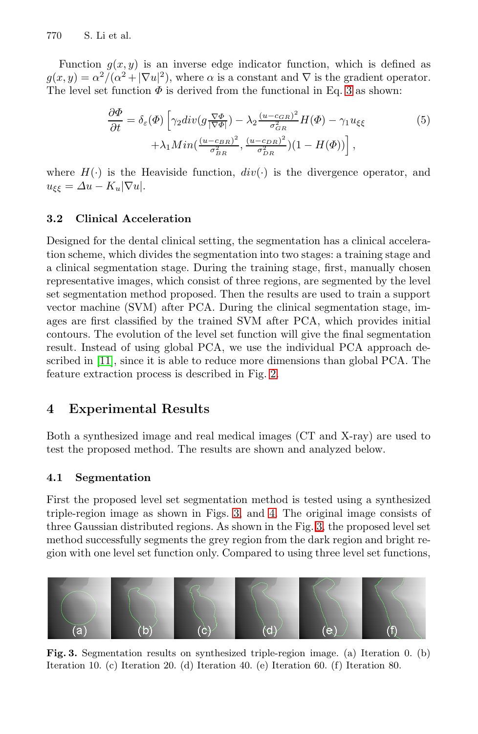770 S. Li et al.

Function  $g(x, y)$  is an inverse edge indicator function, which is defined as  $g(x, y) = \alpha^2/(\alpha^2 + |\nabla u|^2)$ , where  $\alpha$  is a constant and  $\nabla$  is the gradient operator. The level set function  $\Phi$  is derived from the functional in Eq. 3 as shown:

$$
\frac{\partial \Phi}{\partial t} = \delta_{\varepsilon}(\Phi) \left[ \gamma_2 \operatorname{div}(g \frac{\nabla \Phi}{|\nabla \Phi|}) - \lambda_2 \frac{(u - c_{GR})^2}{\sigma_{GR}^2} H(\Phi) - \gamma_1 u_{\xi\xi} \right] \n+ \lambda_1 \operatorname{Min}(\frac{(u - c_{BR})^2}{\sigma_{BR}^2}, \frac{(u - c_{DR})^2}{\sigma_{DR}^2})(1 - H(\Phi)) \right],
$$
\n(5)

where  $H(\cdot)$  is the Heaviside function,  $div(\cdot)$  is the divergence operator, and  $u_{\xi\xi} = \Delta u - K_u |\nabla u|.$ 

#### **3.2 Clinical Acceleration**

Designed for the dental clinical setting, the segmentation has a clinical acceleration scheme, which divides the segmentation into two stages: a training stage and a clinical segmentation stage. During the training stage, first, manually chosen representative images, which consist of three regions, are segmented by the level set segmentation method proposed. Then the results are used to train a support vector machine (SVM) after PCA. During the clinical segmentation stage, images are first classified by the trained SVM after PCA, which provides initial contours. The evolution of the level set function will give the final segmentation result. Instead of using global PCA, we use the individual PCA approach described in [11], since it is able to reduce more dimensions than global PCA. The feature extraction process is described in Fig. 2.

#### **4 Experimental Results**

Both a synthesized image and real medical images (CT and X-ray) are used to test the proposed method. The results are shown and analyzed below.

#### **4.1 Segmentation**

First the proposed level set segmentation method is tested using a synthesized triple-region image as shown in Figs. 3, and 4. The original image consists of three Gaussian distributed regions. As shown in the Fig. 3, the proposed level set method successfully segments the grey region from the dark region and bright region with one level set function only. Compared to using three level set functions,



**Fig. 3.** Segmentation results on synthesized triple-region image. (a) Iteration 0. (b) Iteration 10. (c) Iteration 20. (d) Iteration 40. (e) Iteration 60. (f) Iteration 80.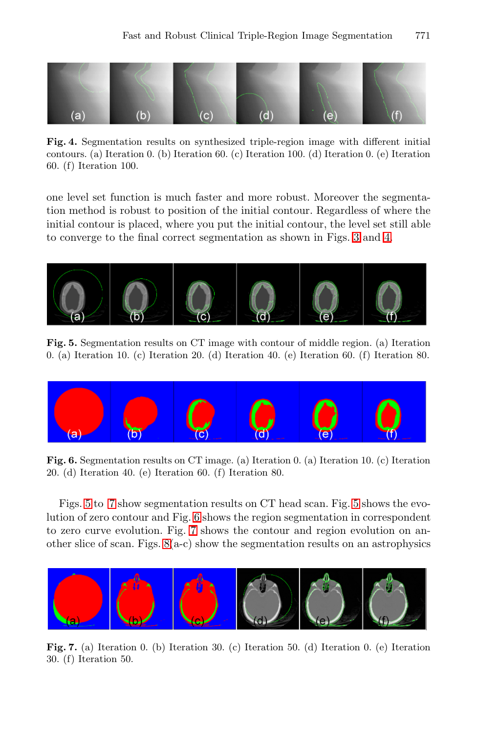

**Fig. 4.** Segmentation results on synthesized triple-region image with different initial contours. (a) Iteration 0. (b) Iteration 60. (c) Iteration 100. (d) Iteration 0. (e) Iteration 60. (f) Iteration 100.

one level set function is much faster and more robust. Moreover the segmentation method is robust to position of the initial contour. Regardless of where the initial contour is placed, where you put the initial contour, the level set still able to converge to the final correct segmentation as shown in Figs. 3 and 4.



**Fig. 5.** Segmentation results on CT image with contour of middle region. (a) Iteration 0. (a) Iteration 10. (c) Iteration 20. (d) Iteration 40. (e) Iteration 60. (f) Iteration 80.



**Fig. 6.** Segmentation results on CT image. (a) Iteration 0. (a) Iteration 10. (c) Iteration 20. (d) Iteration 40. (e) Iteration 60. (f) Iteration 80.

Figs. 5 to 7 show segmentation results on CT head scan. Fig. 5 shows the evolution of zero contour and Fig. 6 shows the region segmentation in correspondent to zero curve evolution. Fig. 7 shows the contour and region evolution on another slice of scan. Figs. 8(a-c) show the segmentation results on an astrophysics



**Fig. 7.** (a) Iteration 0. (b) Iteration 30. (c) Iteration 50. (d) Iteration 0. (e) Iteration 30. (f) Iteration 50.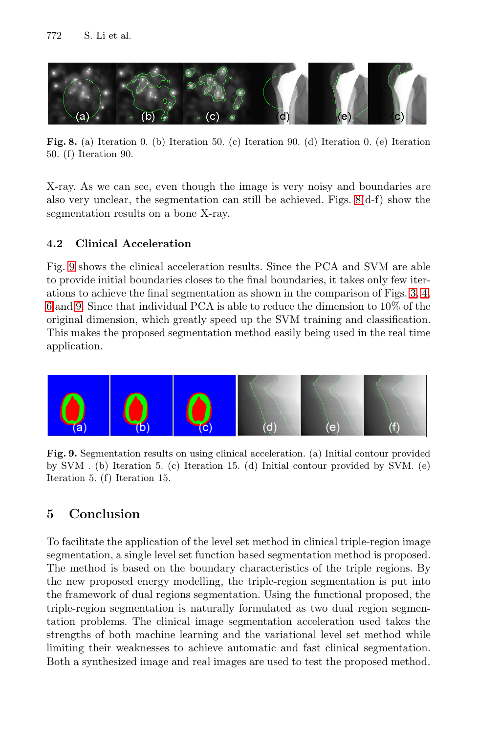772 S. Li et al.



**Fig. 8.** (a) Iteration 0. (b) Iteration 50. (c) Iteration 90. (d) Iteration 0. (e) Iteration 50. (f) Iteration 90.

X-ray. As we can see, even though the image is very noisy and boundaries are also very unclear, the segmentation can still be achieved. Figs.  $8(d-f)$  show the segmentation results on a bone X-ray.

### **4.2 Clinical Acceleration**

Fig. 9 shows the clinical acceleration results. Since the PCA and SVM are able to provide initial boundaries closes to the final boundaries, it takes only few iterations to achieve the final segmentation as shown in the comparison of Figs. 3, 4, 6 and 9. Since that individual PCA is able to reduce the dimension to 10% of the original dimension, which greatly speed up the SVM training and classification. This makes the proposed segmentation method easily being used in the real time application.



**Fig. 9.** Segmentation results on using clinical acceleration. (a) Initial contour provided by SVM . (b) Iteration 5. (c) Iteration 15. (d) Initial contour provided by SVM. (e) Iteration 5. (f) Iteration 15.

## **5 Conclusion**

To facilitate the application of the level set method in clinical triple-region image segmentation, a single level set function based segmentation method is proposed. The method is based on the boundary characteristics of the triple regions. By the new proposed energy modelling, the triple-region segmentation is put into the framework of dual regions segmentation. Using the functional proposed, the triple-region segmentation is naturally formulated as two dual region segmentation problems. The clinical image segmentation acceleration used takes the strengths of both machine learning and the variational level set method while limiting their weaknesses to achieve automatic and fast clinical segmentation. Both a synthesized image and real images are used to test the proposed method.